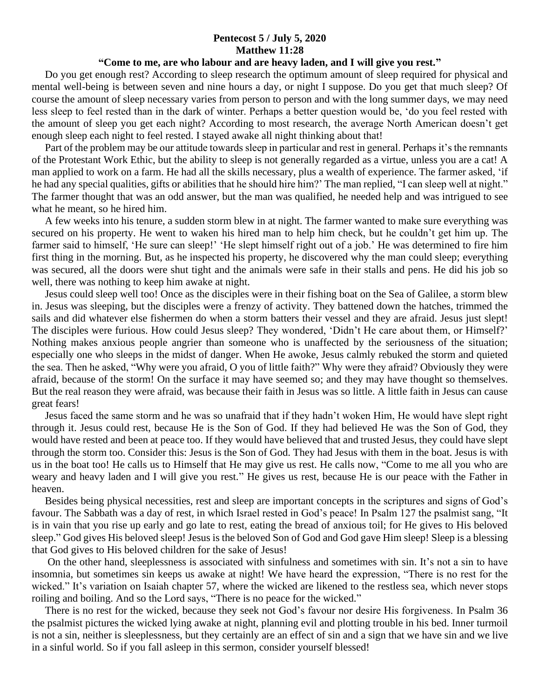## **Pentecost 5 / July 5, 2020 Matthew 11:28**

## **"Come to me, are who labour and are heavy laden, and I will give you rest."**

 Do you get enough rest? According to sleep research the optimum amount of sleep required for physical and mental well-being is between seven and nine hours a day, or night I suppose. Do you get that much sleep? Of course the amount of sleep necessary varies from person to person and with the long summer days, we may need less sleep to feel rested than in the dark of winter. Perhaps a better question would be, 'do you feel rested with the amount of sleep you get each night? According to most research, the average North American doesn't get enough sleep each night to feel rested. I stayed awake all night thinking about that!

 Part of the problem may be our attitude towards sleep in particular and rest in general. Perhaps it's the remnants of the Protestant Work Ethic, but the ability to sleep is not generally regarded as a virtue, unless you are a cat! A man applied to work on a farm. He had all the skills necessary, plus a wealth of experience. The farmer asked, 'if he had any special qualities, gifts or abilities that he should hire him?' The man replied, "I can sleep well at night." The farmer thought that was an odd answer, but the man was qualified, he needed help and was intrigued to see what he meant, so he hired him.

 A few weeks into his tenure, a sudden storm blew in at night. The farmer wanted to make sure everything was secured on his property. He went to waken his hired man to help him check, but he couldn't get him up. The farmer said to himself, 'He sure can sleep!' 'He slept himself right out of a job.' He was determined to fire him first thing in the morning. But, as he inspected his property, he discovered why the man could sleep; everything was secured, all the doors were shut tight and the animals were safe in their stalls and pens. He did his job so well, there was nothing to keep him awake at night.

 Jesus could sleep well too! Once as the disciples were in their fishing boat on the Sea of Galilee, a storm blew in. Jesus was sleeping, but the disciples were a frenzy of activity. They battened down the hatches, trimmed the sails and did whatever else fishermen do when a storm batters their vessel and they are afraid. Jesus just slept! The disciples were furious. How could Jesus sleep? They wondered, 'Didn't He care about them, or Himself?' Nothing makes anxious people angrier than someone who is unaffected by the seriousness of the situation; especially one who sleeps in the midst of danger. When He awoke, Jesus calmly rebuked the storm and quieted the sea. Then he asked, "Why were you afraid, O you of little faith?" Why were they afraid? Obviously they were afraid, because of the storm! On the surface it may have seemed so; and they may have thought so themselves. But the real reason they were afraid, was because their faith in Jesus was so little. A little faith in Jesus can cause great fears!

 Jesus faced the same storm and he was so unafraid that if they hadn't woken Him, He would have slept right through it. Jesus could rest, because He is the Son of God. If they had believed He was the Son of God, they would have rested and been at peace too. If they would have believed that and trusted Jesus, they could have slept through the storm too. Consider this: Jesus is the Son of God. They had Jesus with them in the boat. Jesus is with us in the boat too! He calls us to Himself that He may give us rest. He calls now, "Come to me all you who are weary and heavy laden and I will give you rest." He gives us rest, because He is our peace with the Father in heaven.

 Besides being physical necessities, rest and sleep are important concepts in the scriptures and signs of God's favour. The Sabbath was a day of rest, in which Israel rested in God's peace! In Psalm 127 the psalmist sang, "It is in vain that you rise up early and go late to rest, eating the bread of anxious toil; for He gives to His beloved sleep." God gives His beloved sleep! Jesus is the beloved Son of God and God gave Him sleep! Sleep is a blessing that God gives to His beloved children for the sake of Jesus!

 On the other hand, sleeplessness is associated with sinfulness and sometimes with sin. It's not a sin to have insomnia, but sometimes sin keeps us awake at night! We have heard the expression, "There is no rest for the wicked." It's variation on Isaiah chapter 57, where the wicked are likened to the restless sea, which never stops roiling and boiling. And so the Lord says, "There is no peace for the wicked."

 There is no rest for the wicked, because they seek not God's favour nor desire His forgiveness. In Psalm 36 the psalmist pictures the wicked lying awake at night, planning evil and plotting trouble in his bed. Inner turmoil is not a sin, neither is sleeplessness, but they certainly are an effect of sin and a sign that we have sin and we live in a sinful world. So if you fall asleep in this sermon, consider yourself blessed!